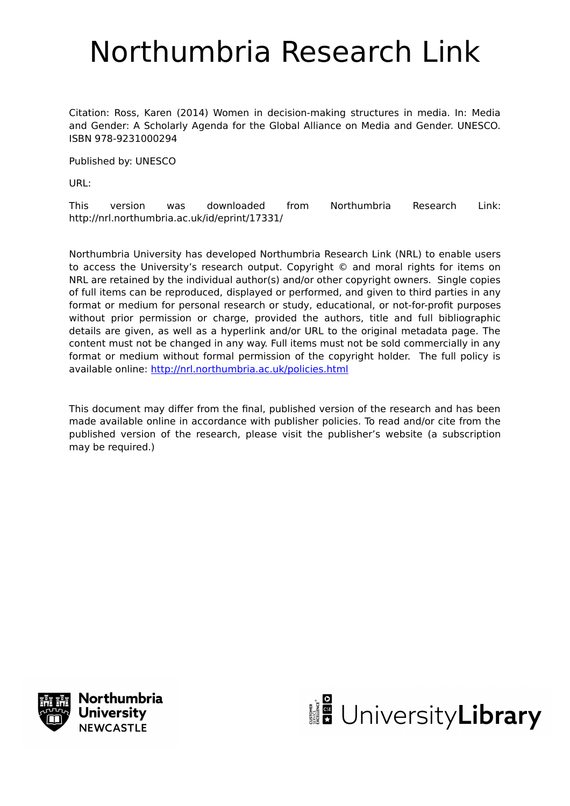# Northumbria Research Link

Citation: Ross, Karen (2014) Women in decision-making structures in media. In: Media and Gender: A Scholarly Agenda for the Global Alliance on Media and Gender. UNESCO. ISBN 978-9231000294

Published by: UNESCO

URL:

This version was downloaded from Northumbria Research Link: http://nrl.northumbria.ac.uk/id/eprint/17331/

Northumbria University has developed Northumbria Research Link (NRL) to enable users to access the University's research output. Copyright © and moral rights for items on NRL are retained by the individual author(s) and/or other copyright owners. Single copies of full items can be reproduced, displayed or performed, and given to third parties in any format or medium for personal research or study, educational, or not-for-profit purposes without prior permission or charge, provided the authors, title and full bibliographic details are given, as well as a hyperlink and/or URL to the original metadata page. The content must not be changed in any way. Full items must not be sold commercially in any format or medium without formal permission of the copyright holder. The full policy is available online:<http://nrl.northumbria.ac.uk/policies.html>

This document may differ from the final, published version of the research and has been made available online in accordance with publisher policies. To read and/or cite from the published version of the research, please visit the publisher's website (a subscription may be required.)



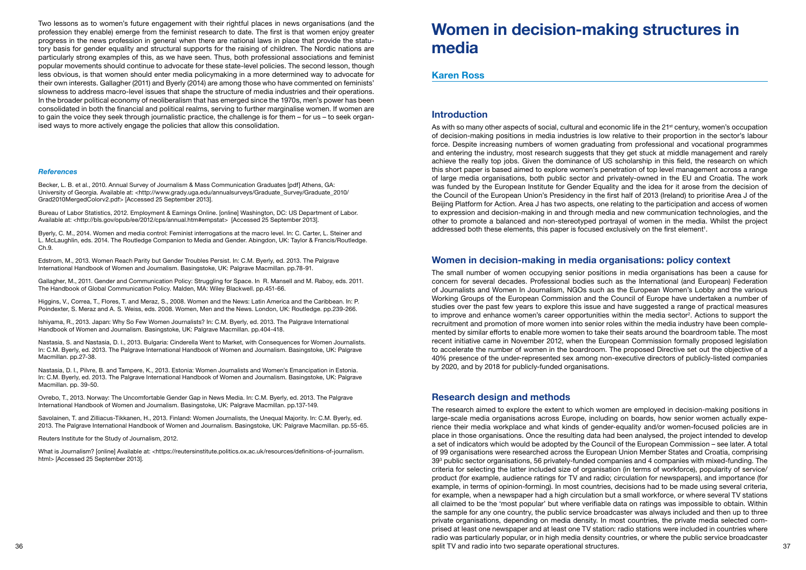Two lessons as to women's future engagement with their rightful places in news organisations (and the profession they enable) emerge from the feminist research to date. The first is that women enjoy greater progress in the news profession in general when there are national laws in place that provide the statutory basis for gender equality and structural supports for the raising of children. The Nordic nations are particularly strong examples of this, as we have seen. Thus, both professional associations and feminist popular movements should continue to advocate for these state-level policies. The second lesson, though less obvious, is that women should enter media policymaking in a more determined way to advocate for their own interests. Gallagher (2011) and Byerly (2014) are among those who have commented on feminists' slowness to address macro-level issues that shape the structure of media industries and their operations. In the broader political economy of neoliberalism that has emerged since the 1970s, men's power has been consolidated in both the financial and political realms, serving to further marginalise women. If women are to gain the voice they seek through journalistic practice, the challenge is for them – for us – to seek organised ways to more actively engage the policies that allow this consolidation.

#### *References*

Becker, L. B. et al., 2010. Annual Survey of Journalism & Mass Communication Graduates [pdf] Athens, GA: University of Georgia. Available at: <http://www.grady.uga.edu/annualsurveys/Graduate\_Survey/Graduate\_2010/ Grad2010MergedColorv2.pdf> [Accessed 25 September 2013].

Bureau of Labor Statistics, 2012. Employment & Earnings Online. [online] Washington, DC: US Department of Labor. Available at: <http://bls.gov/opub/ee/2012/cps/annual.htm#empstat> [Accessed 25 September 2013].

Byerly, C. M., 2014. Women and media control: Feminist interrogations at the macro level. In: C. Carter, L. Steiner and L. McLaughlin, eds. 2014. The Routledge Companion to Media and Gender. Abingdon, UK: Taylor & Francis/Routledge. Ch.9.

What is Journalism? [online] Available at: <https://reutersinstitute.politics.ox.ac.uk/resources/definitions-of-journalism. html> [Accessed 25 September 2013].

Edstrom, M., 2013. Women Reach Parity but Gender Troubles Persist. In: C.M. Byerly, ed. 2013. The Palgrave International Handbook of Women and Journalism. Basingstoke, UK: Palgrave Macmillan. pp.78-91.

Gallagher, M., 2011. Gender and Communication Policy: Struggling for Space. In R. Mansell and M. Raboy, eds. 2011. The Handbook of Global Communication Policy. Malden, MA: Wiley Blackwell. pp.451-66.

Higgins, V., Correa, T., Flores, T. and Meraz, S., 2008. Women and the News: Latin America and the Caribbean. In: P. Poindexter, S. Meraz and A. S. Weiss, eds. 2008. Women, Men and the News. London, UK: Routledge. pp.239-266.

Ishiyama, R., 2013. Japan: Why So Few Women Journalists? In: C.M. Byerly, ed. 2013. The Palgrave International Handbook of Women and Journalism. Basingstoke, UK: Palgrave Macmillan. pp.404-418.

Nastasia, S. and Nastasia, D. I., 2013. Bulgaria: Cinderella Went to Market, with Consequences for Women Journalists. In: C.M. Byerly, ed. 2013. The Palgrave International Handbook of Women and Journalism. Basingstoke, UK: Palgrave Macmillan. pp.27-38.

Nastasia, D. I., Pilvre, B. and Tampere, K., 2013. Estonia: Women Journalists and Women's Emancipation in Estonia. In: C.M. Byerly, ed. 2013. The Palgrave International Handbook of Women and Journalism. Basingstoke, UK: Palgrave Macmillan. pp. 39-50.

Ovrebo, T., 2013. Norway: The Uncomfortable Gender Gap in News Media. In: C.M. Byerly, ed. 2013. The Palgrave International Handbook of Women and Journalism. Basingstoke, UK: Palgrave Macmillan. pp.137-149.

Savolainen, T. and Zilliacus-Tikkanen, H., 2013. Finland: Women Journalists, the Unequal Majority. In: C.M. Byerly, ed. 2013. The Palgrave International Handbook of Women and Journalism. Basingstoke, UK: Palgrave Macmillan. pp.55-65.

Reuters Institute for the Study of Journalism, 2012.

# **Women in decision-making structures in media**

### **Karen Ross**

## **Introduction**

As with so many other aspects of social, cultural and economic life in the 21<sup>st</sup> century, women's occupation of decision-making positions in media industries is low relative to their proportion in the sector's labour force. Despite increasing numbers of women graduating from professional and vocational programmes and entering the industry, most research suggests that they get stuck at middle management and rarely achieve the really top jobs. Given the dominance of US scholarship in this field, the research on which this short paper is based aimed to explore women's penetration of top level management across a range of large media organisations, both public sector and privately-owned in the EU and Croatia. The work was funded by the European Institute for Gender Equality and the idea for it arose from the decision of the Council of the European Union's Presidency in the first half of 2013 (Ireland) to prioritise Area J of the Beijing Platform for Action. Area J has two aspects, one relating to the participation and access of women to expression and decision-making in and through media and new communication technologies, and the other to promote a balanced and non-stereotyped portrayal of women in the media. Whilst the project addressed both these elements, this paper is focused exclusively on the first element $^{\scriptscriptstyle 1}$ .

36 37 split TV and radio into two separate operational structures.The research aimed to explore the extent to which women are employed in decision-making positions in large-scale media organisations across Europe, including on boards, how senior women actually experience their media workplace and what kinds of gender-equality and/or women-focused policies are in place in those organisations. Once the resulting data had been analysed, the project intended to develop a set of indicators which would be adopted by the Council of the European Commission – see later. A total of 99 organisations were researched across the European Union Member States and Croatia, comprising  $39^{\rm 3}$  public sector organisations, 56 privately-funded companies and 4 companies with mixed-funding. The criteria for selecting the latter included size of organisation (in terms of workforce), popularity of service/ product (for example, audience ratings for TV and radio; circulation for newspapers), and importance (for example, in terms of opinion-forming). In most countries, decisions had to be made using several criteria, for example, when a newspaper had a high circulation but a small workforce, or where several TV stations all claimed to be the 'most popular' but where verifiable data on ratings was impossible to obtain. Within the sample for any one country, the public service broadcaster was always included and then up to three private organisations, depending on media density. In most countries, the private media selected comprised at least one newspaper and at least one TV station: radio stations were included in countries where radio was particularly popular, or in high media density countries, or where the public service broadcaster

# **Women in decision-making in media organisations: policy context**

The small number of women occupying senior positions in media organisations has been a cause for concern for several decades. Professional bodies such as the International (and European) Federation of Journalists and Women In Journalism, NGOs such as the European Women's Lobby and the various Working Groups of the European Commission and the Council of Europe have undertaken a number of studies over the past few years to explore this issue and have suggested a range of practical measures to improve and enhance women's career opportunities within the media sector<sup>2</sup>. Actions to support the recruitment and promotion of more women into senior roles within the media industry have been complemented by similar efforts to enable more women to take their seats around the boardroom table. The most recent initiative came in November 2012, when the European Commission formally proposed legislation to accelerate the number of women in the boardroom. The proposed Directive set out the objective of a 40% presence of the under-represented sex among non-executive directors of publicly-listed companies by 2020, and by 2018 for publicly-funded organisations.

# **Research design and methods**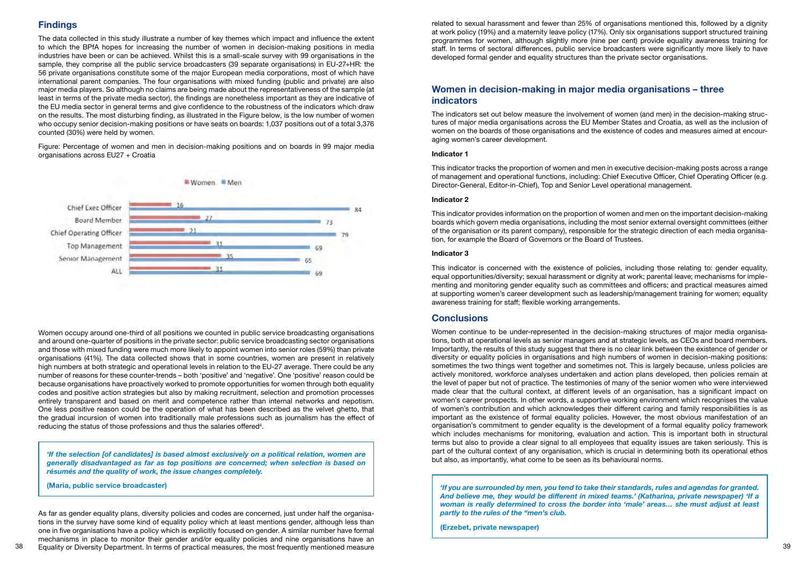# **Findings**

The data collected in this study illustrate a number of key themes which impact and influence the extent to which the BPfA hopes for increasing the number of women in decision-making positions in media industries have been or can be achieved. Whilst this is a small-scale survey with 99 organisations in the sample, they comprise all the public service broadcasters (39 separate organisations) in EU-27+HR: the 56 private organisations constitute some of the major European media corporations, most of which have international parent companies. The four organisations with mixed funding (public and private) are also major media players. So although no claims are being made about the representativeness of the sample (at least in terms of the private media sector), the findings are nonetheless important as they are indicative of the EU media sector in general terms and give confidence to the robustness of the indicators which draw on the results. The most disturbing finding, as illustrated in the Figure below, is the low number of women who occupy senior decision-making positions or have seats on boards: 1,037 positions out of a total 3,376 counted (30%) were held by women.

Women occupy around one-third of all positions we counted in public service broadcasting organisations and around one-quarter of positions in the private sector: public service broadcasting sector organisations and those with mixed funding were much more likely to appoint women into senior roles (59%) than private organisations (41%). The data collected shows that in some countries, women are present in relatively high numbers at both strategic and operational levels in relation to the EU-27 average. There could be any number of reasons for these counter-trends – both 'positive' and 'negative'. One 'positive' reason could be because organisations have proactively worked to promote opportunities for women through both equality codes and positive action strategies but also by making recruitment, selection and promotion processes entirely transparent and based on merit and competence rather than internal networks and nepotism. One less positive reason could be the operation of what has been described as the velvet ghetto, that the gradual incursion of women into traditionally male professions such as journalism has the effect of reducing the status of those professions and thus the salaries offered $\hbox{}^4.$ 

Figure: Percentage of women and men in decision-making positions and on boards in 99 major media organisations across EU27 + Croatia



38 39 Equality or Diversity Department. In terms of practical measures, the most frequently mentioned measure As far as gender equality plans, diversity policies and codes are concerned, just under half the organisations in the survey have some kind of equality policy which at least mentions gender, although less than one in five organisations have a policy which is explicitly focused on gender. A similar number have formal mechanisms in place to monitor their gender and/or equality policies and nine organisations have an

*'If the selection [of candidates] is based almost exclusively on a political relation, women are generally disadvantaged as far as top positions are concerned; when selection is based on résumés and the quality of work, the issue changes completely.*

**(Maria, public service broadcaster)**

related to sexual harassment and fewer than 25% of organisations mentioned this, followed by a dignity at work policy (19%) and a maternity leave policy (17%). Only six organisations support structured training programmes for women, although slightly more (nine per cent) provide equality awareness training for staff. In terms of sectoral differences, public service broadcasters were significantly more likely to have developed formal gender and equality structures than the private sector organisations.

# **Women in decision-making in major media organisations – three indicators**

The indicators set out below measure the involvement of women (and men) in the decision-making structures of major media organisations across the EU Member States and Croatia, as well as the inclusion of women on the boards of those organisations and the existence of codes and measures aimed at encouraging women's career development.

#### **Indicator 1**

This indicator tracks the proportion of women and men in executive decision-making posts across a range of management and operational functions, including: Chief Executive Officer, Chief Operating Officer (e.g. Director-General, Editor-in-Chief), Top and Senior Level operational management.

#### **Indicator 2**

This indicator provides information on the proportion of women and men on the important decision-making boards which govern media organisations, including the most senior external oversight committees (either of the organisation or its parent company), responsible for the strategic direction of each media organisation, for example the Board of Governors or the Board of Trustees.

#### **Indicator 3**

This indicator is concerned with the existence of policies, including those relating to: gender equality, equal opportunities/diversity; sexual harassment or dignity at work; parental leave; mechanisms for implementing and monitoring gender equality such as committees and officers; and practical measures aimed at supporting women's career development such as leadership/management training for women; equality awareness training for staff; flexible working arrangements.

# **Conclusions**

Women continue to be under-represented in the decision-making structures of major media organisations, both at operational levels as senior managers and at strategic levels, as CEOs and board members. Importantly, the results of this study suggest that there is no clear link between the existence of gender or diversity or equality policies in organisations and high numbers of women in decision-making positions: sometimes the two things went together and sometimes not. This is largely because, unless policies are actively monitored, workforce analyses undertaken and action plans developed, then policies remain at the level of paper but not of practice. The testimonies of many of the senior women who were interviewed made clear that the cultural context, at different levels of an organisation, has a significant impact on women's career prospects. In other words, a supportive working environment which recognises the value of women's contribution and which acknowledges their different caring and family responsibilities is as important as the existence of formal equality policies. However, the most obvious manifestation of an organisation's commitment to gender equality is the development of a formal equality policy framework which includes mechanisms for monitoring, evaluation and action. This is important both in structural terms but also to provide a clear signal to all employees that equality issues are taken seriously. This is part of the cultural context of any organisation, which is crucial in determining both its operational ethos but also, as importantly, what come to be seen as its behavioural norms.

*'If you are surrounded by men, you tend to take their standards, rules and agendas for granted. And believe me, they would be different in mixed teams.' (Katharina, private newspaper) 'If a woman is really determined to cross the border into 'male' areas… she must adjust at least partly to the rules of the "men's club.*

**(Erzebet, private newspaper)**